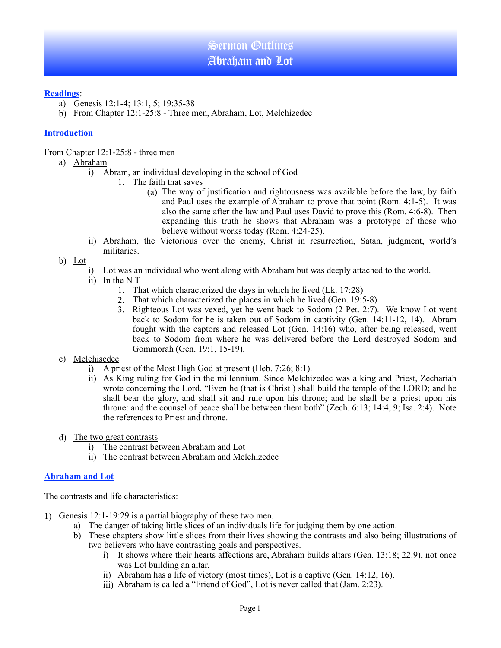#### **Readings**:

- a) Genesis 12:1-4; 13:1, 5; 19:35-38
- b) From Chapter 12:1-25:8 Three men, Abraham, Lot, Melchizedec

## **Introduction**

From Chapter 12:1-25:8 - three men

- a) Abraham
	- i) Abram, an individual developing in the school of God
		- 1. The faith that saves
			- (a) The way of justification and rightousness was available before the law, by faith and Paul uses the example of Abraham to prove that point (Rom. 4:1-5). It was also the same after the law and Paul uses David to prove this (Rom. 4:6-8). Then expanding this truth he shows that Abraham was a prototype of those who believe without works today (Rom. 4:24-25).
	- ii) Abraham, the Victorious over the enemy, Christ in resurrection, Satan, judgment, world's militaries.
- b) Lot
	- i) Lot was an individual who went along with Abraham but was deeply attached to the world.
	- ii) In the N T
		- 1. That which characterized the days in which he lived (Lk. 17:28)
		- 2. That which characterized the places in which he lived (Gen. 19:5-8)
		- 3. Righteous Lot was vexed, yet he went back to Sodom (2 Pet. 2:7). We know Lot went back to Sodom for he is taken out of Sodom in captivity (Gen. 14:11-12, 14). Abram fought with the captors and released Lot (Gen. 14:16) who, after being released, went back to Sodom from where he was delivered before the Lord destroyed Sodom and Gommorah (Gen. 19:1, 15-19).

### c) Melchisedec

- i) A priest of the Most High God at present (Heb. 7:26; 8:1).
- ii) As King ruling for God in the millennium. Since Melchizedec was a king and Priest, Zechariah wrote concerning the Lord, "Even he (that is Christ ) shall build the temple of the LORD; and he shall bear the glory, and shall sit and rule upon his throne; and he shall be a priest upon his throne: and the counsel of peace shall be between them both" (Zech. 6:13; 14:4, 9; Isa. 2:4). Note the references to Priest and throne.
- d) The two great contrasts
	- i) The contrast between Abraham and Lot
	- ii) The contrast between Abraham and Melchizedec

#### **Abraham and Lot**

The contrasts and life characteristics:

- 1) Genesis 12:1-19:29 is a partial biography of these two men.
	- a) The danger of taking little slices of an individuals life for judging them by one action.
	- b) These chapters show little slices from their lives showing the contrasts and also being illustrations of two believers who have contrasting goals and perspectives.
		- i) It shows where their hearts affections are, Abraham builds altars (Gen. 13:18; 22:9), not once was Lot building an altar.
		- ii) Abraham has a life of victory (most times), Lot is a captive (Gen. 14:12, 16).
		- iii) Abraham is called a "Friend of God", Lot is never called that (Jam. 2:23).